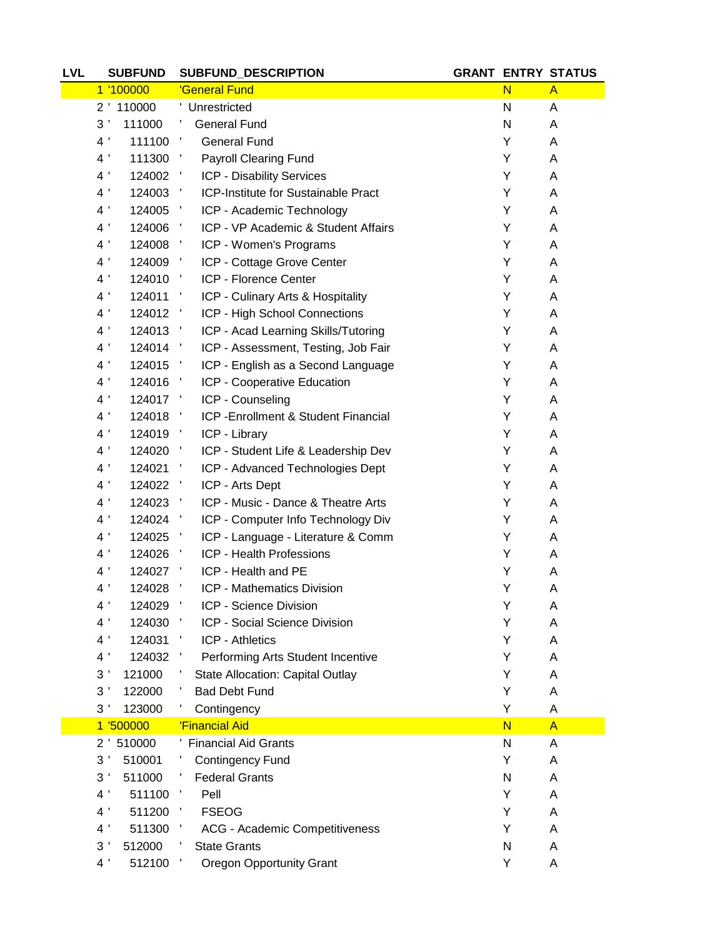| <b>LVL</b> | <b>SUBFUND</b>                             | SUBFUND_DESCRIPTION                                                 |        | <b>GRANT ENTRY STATUS</b> |
|------------|--------------------------------------------|---------------------------------------------------------------------|--------|---------------------------|
|            | 1 '100000                                  | 'General Fund                                                       | N      | $\mathsf{A}$              |
|            | 2 ' 110000                                 | ' Unrestricted                                                      | N      | A                         |
|            | 3 <sup>1</sup><br>111000                   | <b>General Fund</b><br>Ť,                                           | N      | A                         |
|            | 4 <sup>1</sup><br>111100                   | <b>General Fund</b><br>$\mathcal{F}_{\mathcal{A}}$                  | Y      | A                         |
|            | 4 <sup>1</sup><br>111300                   | <b>Payroll Clearing Fund</b><br>$\mathcal{F}_{\mathcal{F}}$         | Y      | A                         |
|            | 4 <sup>1</sup><br>124002                   | ICP - Disability Services<br>$\mathcal{F}_{\mathcal{A}}$            | Y      | A                         |
|            | 4 <sup>1</sup><br>124003                   | ICP-Institute for Sustainable Pract<br>$\mathcal{F}_{\mathcal{A}}$  | Y      | A                         |
|            | 4 <sup>1</sup><br>124005                   | ICP - Academic Technology<br>$\mathcal{F}_{\mathcal{A}}$            | Y      | A                         |
|            | 4 <sup>1</sup><br>124006                   | ICP - VP Academic & Student Affairs<br>$\mathcal{L}_{\mathcal{A}}$  | Y      | A                         |
|            | 4 <sup>1</sup><br>124008 '                 | ICP - Women's Programs                                              | Y      | Α                         |
|            | 4 <sup>1</sup><br>124009                   | $\mathcal{A}_{\mathcal{A}}$<br>ICP - Cottage Grove Center           | Y      | A                         |
|            | 4 <sup>1</sup><br>124010                   | ICP - Florence Center<br>$\mathcal{F}_{\mathcal{F}}$                | Υ      | A                         |
|            | 4 <sup>1</sup><br>124011                   | ICP - Culinary Arts & Hospitality<br>$\mathcal{F}_{\mathcal{A}}$    | Y      | A                         |
|            | 4 <sup>1</sup><br>124012                   | ICP - High School Connections<br>- 1                                | Y      | A                         |
|            | 4 <sup>1</sup><br>124013 '                 | ICP - Acad Learning Skills/Tutoring                                 | Y      | A                         |
|            | 4 <sup>1</sup><br>124014                   | ICP - Assessment, Testing, Job Fair<br>и.                           | Y      | A                         |
|            | 4 <sup>1</sup><br>124015                   | ICP - English as a Second Language<br>- 11                          | Υ      | A                         |
|            | 4 <sup>1</sup><br>124016                   | ICP - Cooperative Education<br>$\mathcal{A}$                        | Y      | A                         |
|            | 4 <sup>1</sup><br>124017 '                 | ICP - Counseling                                                    | Y      | A                         |
|            | 4 <sup>1</sup><br>124018                   | ICP - Enrollment & Student Financial<br>$\mathcal{F}_{\mathcal{A}}$ | Y      | A                         |
|            | 4 <sup>1</sup><br>124019                   | ICP - Library<br>$\mathcal{L}_{\mathcal{A}}$                        | Y      | A                         |
|            | 4 <sup>1</sup><br>124020 '                 | ICP - Student Life & Leadership Dev                                 | Υ      | A                         |
|            | 4 <sup>1</sup><br>124021                   | ICP - Advanced Technologies Dept<br>л,                              | Y      | A                         |
|            | 4 <sup>1</sup><br>124022 '                 | ICP - Arts Dept                                                     | Y      | A                         |
|            | 4 <sup>1</sup><br>124023                   | ICP - Music - Dance & Theatre Arts                                  | Y      | A                         |
|            | 4 <sup>1</sup><br>124024 '                 | ICP - Computer Info Technology Div                                  | Y      | A                         |
|            | 4 <sup>1</sup><br>124025                   | ICP - Language - Literature & Comm<br>$\mathcal{A}$                 | Y      | A                         |
|            | 4 <sup>1</sup><br>124026                   | ICP - Health Professions<br>- 11                                    | Y      | A                         |
|            | 4 <sup>1</sup><br>124027 '                 | ICP - Health and PE                                                 | Υ      | A                         |
|            | 4 <sup>1</sup><br>124028                   | ICP - Mathematics Division                                          | Υ      | A                         |
|            | 4 <sup>1</sup><br>124029                   | $\blacksquare$<br>ICP - Science Division                            | Υ      | A                         |
|            | 4 <sup>1</sup><br>124030                   | ICP - Social Science Division                                       | Y      | A                         |
|            | 4 <sup>1</sup><br>124031                   | <b>ICP - Athletics</b>                                              | Y      | A                         |
|            | 4 <sup>1</sup><br>124032                   | Performing Arts Student Incentive<br>J.                             | Y      | A                         |
|            | 3 <sup>1</sup><br>121000                   | <b>State Allocation: Capital Outlay</b>                             | Y      | A                         |
|            | 3 <sup>1</sup><br>122000                   | <b>Bad Debt Fund</b>                                                | Υ      | A                         |
|            | 123000<br>3 <sup>1</sup>                   | Contingency                                                         | Y      | A                         |
|            | 1 '500000                                  | 'Financial Aid                                                      | N      | $\overline{A}$            |
|            | 2 ' 510000                                 | <b>Financial Aid Grants</b>                                         | N      | A                         |
|            | 3'<br>510001                               | <b>Contingency Fund</b>                                             | Y      | A                         |
|            | 3 <sup>1</sup><br>511000<br>4 <sup>1</sup> | <b>Federal Grants</b><br>Ť,<br>Pell<br>÷,                           | N<br>Y | A                         |
|            | 511100<br>4 <sup>1</sup><br>511200         | <b>FSEOG</b><br>÷,                                                  | Y      | A                         |
|            | 4 <sup>1</sup><br>511300                   |                                                                     | Y      | A<br>A                    |
|            | 512000<br>3 <sup>1</sup>                   | ACG - Academic Competitiveness<br><b>State Grants</b>               | N      | A                         |
|            | 4 <sup>1</sup><br>512100                   | <b>Oregon Opportunity Grant</b>                                     | Υ      | A                         |
|            |                                            |                                                                     |        |                           |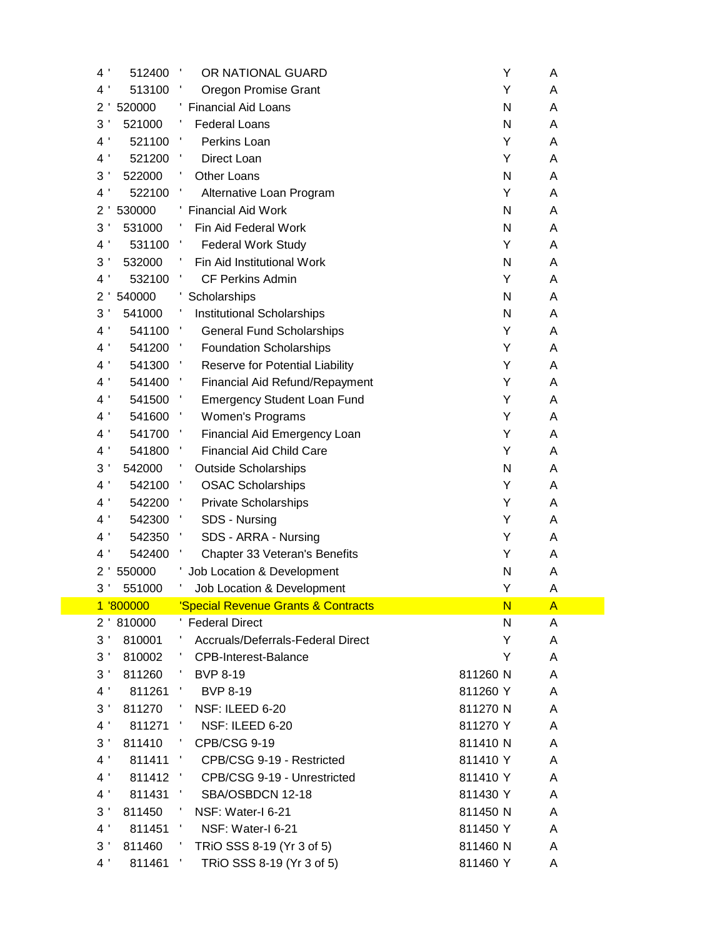| 4 <sup>1</sup>                   | 512400             | OR NATIONAL GUARD                                                     | Υ                    | A            |
|----------------------------------|--------------------|-----------------------------------------------------------------------|----------------------|--------------|
| 4 <sup>1</sup>                   | 513100             | Oregon Promise Grant                                                  | Υ                    | A            |
| $\overline{2}$                   | 520000             | ' Financial Aid Loans                                                 | $\mathsf{N}$         | A            |
| 3                                | 521000             | <b>Federal Loans</b>                                                  | N                    | A            |
| 4 <sup>1</sup>                   | 521100             | Perkins Loan                                                          | Υ                    | A            |
| 4 <sup>1</sup>                   | 521200             | Direct Loan                                                           | Υ                    | A            |
| J<br>3                           | 522000             | Other Loans                                                           | $\mathsf{N}$         | A            |
| $4^{\prime}$                     | 522100             | Alternative Loan Program                                              | Υ                    | A            |
| $\overline{c}$                   | 530000             | <b>Financial Aid Work</b>                                             | N                    | A            |
| 3                                | 531000             | Fin Aid Federal Work                                                  | N                    | A            |
| 4 <sup>1</sup>                   | 531100             | <b>Federal Work Study</b>                                             | Y                    | A            |
| 3                                | 532000             | Fin Aid Institutional Work                                            | $\mathsf{N}$         | A            |
| 4 <sup>1</sup>                   | 532100             | <b>CF Perkins Admin</b>                                               | Y                    | A            |
| $\overline{c}$                   | 540000             | Scholarships                                                          | ${\sf N}$            | A            |
| 3                                | 541000             | Institutional Scholarships                                            | N                    | A            |
| 4 <sup>1</sup>                   | 541100             | <b>General Fund Scholarships</b>                                      | Υ                    | A            |
| 4 <sup>1</sup>                   | 541200             | <b>Foundation Scholarships</b>                                        | Υ                    | A            |
| 4 <sup>1</sup>                   | 541300             | Reserve for Potential Liability                                       | Υ                    | Α            |
| 4 <sup>1</sup>                   | 541400             | Financial Aid Refund/Repayment                                        | Υ                    | A            |
| 4 <sup>1</sup>                   | 541500             | <b>Emergency Student Loan Fund</b>                                    | Υ                    | A            |
| 4 <sup>1</sup>                   | 541600             | Women's Programs                                                      | Υ                    | A            |
| $4^{\prime}$                     | 541700             | Financial Aid Emergency Loan                                          | Υ                    | A            |
| 4 <sup>1</sup>                   | 541800             | <b>Financial Aid Child Care</b>                                       | Υ                    | A            |
| 3                                | 542000             | <b>Outside Scholarships</b>                                           | $\mathsf{N}$         | A            |
| 4 <sup>1</sup>                   | 542100             | <b>OSAC Scholarships</b>                                              | Υ                    | A            |
| 4 <sup>1</sup>                   | 542200             | <b>Private Scholarships</b>                                           | Υ                    | A            |
| 4<br>J                           | 542300             | SDS - Nursing                                                         | Υ                    | A            |
| Ť<br>4                           | 542350             | SDS - ARRA - Nursing                                                  | Υ                    | Α            |
| 4 <sup>1</sup>                   | 542400             | Chapter 33 Veteran's Benefits                                         | Υ                    | A            |
| $\overline{c}$                   | 550000             | Job Location & Development                                            | N                    | Α            |
| 3                                | 551000             | Job Location & Development                                            | Υ                    | A            |
|                                  | 1 '800000          | 'Special Revenue Grants & Contracts                                   | N                    | $\mathsf{A}$ |
|                                  | 2 '810000          | ' Federal Direct                                                      | N                    | A            |
| 3 <sup>1</sup>                   | 810001             | Accruals/Deferrals-Federal Direct                                     | Υ                    | A            |
| 3'                               | 810002             | <b>CPB-Interest-Balance</b>                                           | Υ                    | A            |
| 3'                               | 811260             | <b>BVP 8-19</b>                                                       | 811260 N             | A            |
| 4 <sup>1</sup>                   | 811261             | <b>BVP 8-19</b>                                                       | 811260 Y             | A            |
| 3 <sup>1</sup><br>4 <sup>1</sup> | 811270             | NSF: ILEED 6-20                                                       | 811270 N             | A            |
| 3 <sup>1</sup>                   | 811271 '<br>811410 | NSF: ILEED 6-20<br>CPB/CSG 9-19                                       | 811270 Y<br>811410 N | A            |
| 4 <sup>1</sup>                   |                    |                                                                       |                      | A            |
| 4 <sup>1</sup>                   | 811411<br>811412 ' | CPB/CSG 9-19 - Restricted<br><u>м.</u><br>CPB/CSG 9-19 - Unrestricted | 811410 Y<br>811410 Y | A<br>A       |
| 4 <sup>1</sup>                   | 811431             | SBA/OSBDCN 12-18                                                      | 811430 Y             | A            |
| 3 <sup>1</sup>                   | 811450             | NSF: Water-I 6-21                                                     | 811450 N             | A            |
| 4 <sup>1</sup>                   | 811451             | NSF: Water-I 6-21<br>л.                                               | 811450 Y             | A            |
| 3 <sup>1</sup>                   | 811460             | TRIO SSS 8-19 (Yr 3 of 5)                                             | 811460 N             | A            |
| 4 <sup>1</sup>                   | 811461             | TRIO SSS 8-19 (Yr 3 of 5)                                             | 811460 Y             | Α            |
|                                  |                    |                                                                       |                      |              |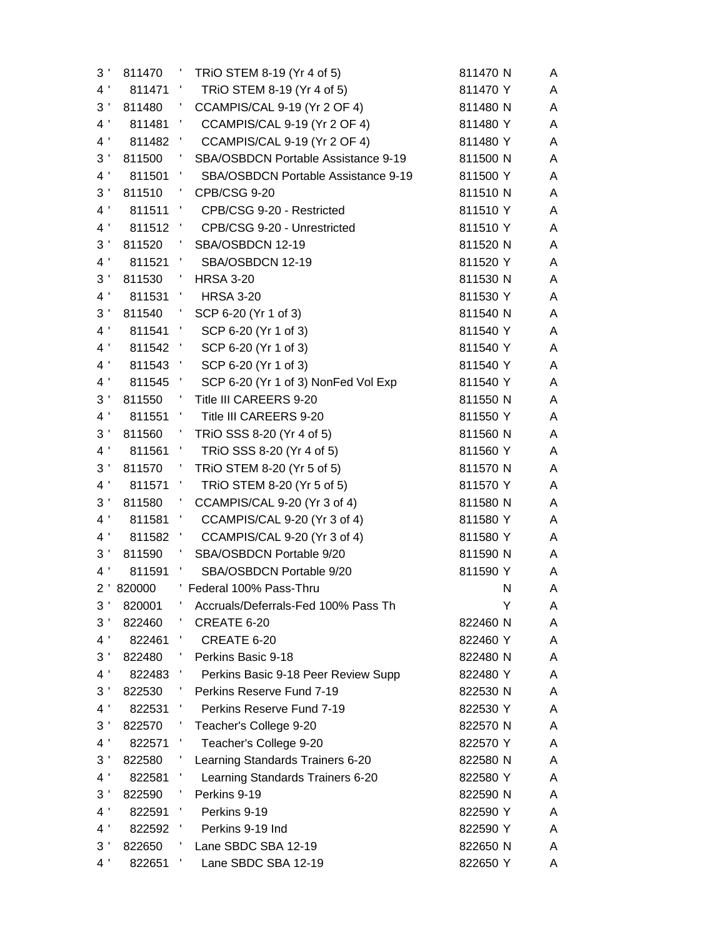| 3 <sup>′</sup>     | 811470    | TRIO STEM 8-19 (Yr 4 of 5)<br>÷,                          | 811470 N | A |
|--------------------|-----------|-----------------------------------------------------------|----------|---|
| 4'                 | 811471    | TRIO STEM 8-19 (Yr 4 of 5)<br>$\mathcal{L}$               | 811470 Y | A |
| 3 <sup>1</sup>     | 811480    | CCAMPIS/CAL 9-19 (Yr 2 OF 4)<br>- 1                       | 811480 N | Α |
| 4 <sup>1</sup>     | 811481    | CCAMPIS/CAL 9-19 (Yr 2 OF 4)<br>- 1                       | 811480 Y | A |
| 4 <sup>1</sup>     | 811482    | CCAMPIS/CAL 9-19 (Yr 2 OF 4)                              | 811480 Y | A |
| $3\,$ '            | 811500    | Ť,<br>SBA/OSBDCN Portable Assistance 9-19                 | 811500 N | A |
| 4 <sup>1</sup>     | 811501    | SBA/OSBDCN Portable Assistance 9-19<br>- 5                | 811500 Y | Α |
| 3 <sup>1</sup>     | 811510    | $\sim$ 1 $\,$<br><b>CPB/CSG 9-20</b>                      | 811510 N | A |
| 4 <sup>1</sup>     | 811511 '  | CPB/CSG 9-20 - Restricted                                 | 811510 Y | A |
| 4 <sup>1</sup>     | 811512 '  | CPB/CSG 9-20 - Unrestricted                               | 811510 Y | A |
| $3\,$ '            | 811520    | $\mathcal{A}$<br>SBA/OSBDCN 12-19                         | 811520 N | A |
| 4 <sup>1</sup>     | 811521 '  | SBA/OSBDCN 12-19                                          | 811520 Y | A |
| 3 <sup>1</sup>     | 811530    | $\sim$ 1.<br><b>HRSA 3-20</b>                             | 811530 N | A |
| $4$ '              | 811531 '  | <b>HRSA 3-20</b>                                          | 811530 Y | A |
| $3\,$ '            | 811540    | SCP 6-20 (Yr 1 of 3)<br>$\mathcal{F}_{\mathcal{G}}$       | 811540 N | A |
| 4 <sup>1</sup>     | 811541 '  | SCP 6-20 (Yr 1 of 3)                                      | 811540 Y | A |
| 4 <sup>1</sup>     | 811542 '  | SCP 6-20 (Yr 1 of 3)                                      | 811540 Y | A |
| 4 <sup>1</sup>     | 811543 '  | SCP 6-20 (Yr 1 of 3)                                      | 811540 Y | A |
| 4 <sup>1</sup>     | 811545 '  | SCP 6-20 (Yr 1 of 3) NonFed Vol Exp                       | 811540 Y | Α |
| 3 <sup>1</sup>     | 811550    | Title III CAREERS 9-20<br>- 1                             | 811550 N | A |
| 4 <sup>1</sup>     | 811551 '  | Title III CAREERS 9-20                                    | 811550 Y | A |
| 3 <sup>1</sup>     | 811560    | TRIO SSS 8-20 (Yr 4 of 5)<br>$\mathcal{I}_\mathcal{I}$    | 811560 N | A |
| 4 <sup>1</sup>     | 811561    | $\mathcal{L}_{\mathcal{A}}$<br>TRIO SSS 8-20 (Yr 4 of 5)  | 811560 Y | A |
| 3 <sup>1</sup>     | 811570    | TRIO STEM 8-20 (Yr 5 of 5)                                | 811570 N | A |
| 4 <sup>1</sup>     | 811571    | TRIO STEM 8-20 (Yr 5 of 5)<br>$\mathcal{L}_{\mathcal{A}}$ | 811570 Y | A |
| 3 <sup>1</sup>     | 811580    | CCAMPIS/CAL 9-20 (Yr 3 of 4)<br>÷,                        | 811580 N | Α |
| 4 <sup>1</sup>     | 811581 '  | CCAMPIS/CAL 9-20 (Yr 3 of 4)                              | 811580 Y | A |
| 4 <sup>1</sup>     | 811582 '  | CCAMPIS/CAL 9-20 (Yr 3 of 4)                              | 811580 Y | A |
| 3 <sup>1</sup>     | 811590    | SBA/OSBDCN Portable 9/20<br>$\mathcal{F}_{\mathcal{A}}$   | 811590 N | Α |
| 4 <sup>1</sup>     | 811591 '  | SBA/OSBDCN Portable 9/20                                  | 811590 Y | A |
|                    | 2 '820000 | ' Federal 100% Pass-Thru                                  | N        | Α |
| 3 <sup>1</sup>     | 820001    | Accruals/Deferrals-Fed 100% Pass Th                       | Y        | A |
| $3\,$ '            | 822460    | CREATE 6-20                                               | 822460 N | A |
| 4 <sup>1</sup>     | 822461    | CREATE 6-20                                               | 822460 Y | A |
| $3\,$ '            | 822480    | Perkins Basic 9-18                                        | 822480 N | A |
| 4 <sup>1</sup>     | 822483    | Perkins Basic 9-18 Peer Review Supp                       | 822480 Y | A |
| $3\,$ '            | 822530    | Perkins Reserve Fund 7-19                                 | 822530 N | A |
| 4 <sup>1</sup>     | 822531    | Perkins Reserve Fund 7-19                                 | 822530 Y | A |
| 3 <sup>′</sup>     | 822570    | Teacher's College 9-20                                    | 822570 N | A |
| $\,$ 4 $^{\prime}$ | 822571    | Teacher's College 9-20                                    | 822570 Y | A |
| 3 <sup>′</sup>     | 822580    | Learning Standards Trainers 6-20                          | 822580 N | A |
| $4$ '              | 822581    | Learning Standards Trainers 6-20                          | 822580 Y | A |
| 3 <sup>1</sup>     | 822590    | Perkins 9-19                                              | 822590 N | A |
| 4 <sup>1</sup>     | 822591    | Perkins 9-19<br>Ť.                                        | 822590 Y | A |
| 4 <sup>1</sup>     | 822592    | Perkins 9-19 Ind<br>Ť.                                    | 822590 Y | A |
| 3 <sup>′</sup>     | 822650    | Lane SBDC SBA 12-19                                       | 822650 N | A |
| 4 <sup>1</sup>     | 822651    | Lane SBDC SBA 12-19                                       | 822650 Y | A |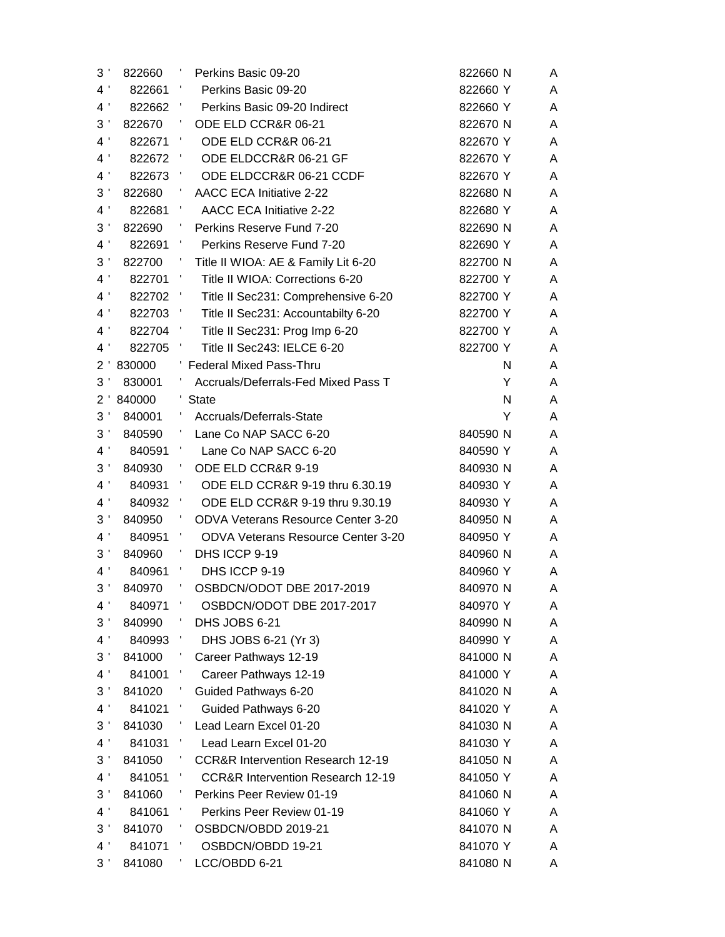| 3 <sup>1</sup> | 822660 | Perkins Basic 09-20<br>J.                                | 822660 N | A |
|----------------|--------|----------------------------------------------------------|----------|---|
| 4 <sup>1</sup> | 822661 | Perkins Basic 09-20<br>- 1                               | 822660 Y | A |
| 4 <sup>1</sup> | 822662 | - 11<br>Perkins Basic 09-20 Indirect                     | 822660 Y | Α |
| 3 <sup>1</sup> | 822670 | ODE ELD CCR&R 06-21                                      | 822670 N | A |
| 4 <sup>1</sup> | 822671 | ODE ELD CCR&R 06-21                                      | 822670 Y | A |
| 4 <sup>1</sup> | 822672 | ODE ELDCCR&R 06-21 GF<br>и,                              | 822670 Y | A |
| $4$ '          | 822673 | ODE ELDCCR&R 06-21 CCDF<br>$\mathcal{A}$                 | 822670 Y | A |
| 3 <sup>1</sup> | 822680 | $\overline{\phantom{a}}$<br>AACC ECA Initiative 2-22     | 822680 N | Α |
| $4$ '          | 822681 | <b>AACC ECA Initiative 2-22</b><br>J.                    | 822680 Y | A |
| 3 <sup>1</sup> | 822690 | Perkins Reserve Fund 7-20                                | 822690 N | A |
| 4 <sup>1</sup> | 822691 | $\mathcal{A}_{\mathcal{A}}$<br>Perkins Reserve Fund 7-20 | 822690 Y | A |
| $3$ '          | 822700 | Title II WIOA: AE & Family Lit 6-20                      | 822700 N | Α |
| 4 <sup>1</sup> | 822701 | $\mathcal{A}$<br>Title II WIOA: Corrections 6-20         | 822700 Y | A |
| 4 <sup>1</sup> | 822702 | Title II Sec231: Comprehensive 6-20                      | 822700 Y | A |
| 4 <sup>1</sup> | 822703 | - 1<br>Title II Sec231: Accountabilty 6-20               | 822700 Y | A |
| 4 <sup>1</sup> | 822704 | $\mathcal{A}$<br>Title II Sec231: Prog Imp 6-20          | 822700 Y | A |
| 4 <sup>1</sup> | 822705 | Title II Sec243: IELCE 6-20                              | 822700 Y | A |
| 2'             | 830000 | ' Federal Mixed Pass-Thru                                | N        | A |
| 3'             | 830001 | Accruals/Deferrals-Fed Mixed Pass T                      | Y        | A |
| $2^{\prime}$   | 840000 | <b>State</b>                                             | N        | A |
| 3 <sup>1</sup> | 840001 | Accruals/Deferrals-State                                 | Y        | A |
| 3 <sup>1</sup> | 840590 | Lane Co NAP SACC 6-20                                    | 840590 N | Α |
| 4 <sup>1</sup> | 840591 | Lane Co NAP SACC 6-20                                    | 840590 Y | A |
| $3\,$ '        | 840930 | ODE ELD CCR&R 9-19                                       | 840930 N | A |
| 4 <sup>1</sup> | 840931 | Ť,<br>ODE ELD CCR&R 9-19 thru 6.30.19                    | 840930 Y | A |
| $4\,$ '        | 840932 | ODE ELD CCR&R 9-19 thru 9.30.19<br>J.                    | 840930 Y | A |
| $3\,$ '        | 840950 | <b>ODVA Veterans Resource Center 3-20</b>                | 840950 N | Α |
| $4$ '          | 840951 | Ť,<br><b>ODVA Veterans Resource Center 3-20</b>          | 840950 Y | A |
| $3\,$ '        | 840960 | DHS ICCP 9-19                                            | 840960 N | A |
| 4 <sup>1</sup> | 840961 | $\mathcal{A}$<br>DHS ICCP 9-19                           | 840960 Y | A |
| 3'             | 840970 | OSBDCN/ODOT DBE 2017-2019                                | 840970 N | A |
| 4 <sup>1</sup> | 840971 | J.<br>OSBDCN/ODOT DBE 2017-2017                          | 840970 Y | A |
| 3'             | 840990 | DHS JOBS 6-21                                            | 840990 N | A |
| 4 <sup>1</sup> | 840993 | Ť.<br>DHS JOBS 6-21 (Yr 3)                               | 840990 Y | A |
| $3\,$ '        | 841000 | Career Pathways 12-19                                    | 841000 N | A |
| 4 <sup>1</sup> | 841001 | Career Pathways 12-19                                    | 841000 Y | A |
| $3\,$ '        | 841020 | Guided Pathways 6-20                                     | 841020 N | A |
| 4 <sup>1</sup> | 841021 | Guided Pathways 6-20                                     | 841020 Y | A |
| 3 <sup>1</sup> | 841030 | Lead Learn Excel 01-20                                   | 841030 N | A |
| $4$ '          | 841031 | Lead Learn Excel 01-20<br>÷,                             | 841030 Y | A |
| $3\,$ '        | 841050 | <b>CCR&amp;R Intervention Research 12-19</b>             | 841050 N | A |
| 4 <sup>1</sup> | 841051 | <b>CCR&amp;R Intervention Research 12-19</b>             | 841050 Y | A |
| 3'             | 841060 | Perkins Peer Review 01-19                                | 841060 N | A |
| $4$ '          | 841061 | Perkins Peer Review 01-19<br>Ť,                          | 841060 Y | A |
| 3 <sup>1</sup> | 841070 | OSBDCN/OBDD 2019-21<br>t,                                | 841070 N | A |
| 4 <sup>1</sup> | 841071 | OSBDCN/OBDD 19-21                                        | 841070 Y | A |
| 3 <sup>1</sup> | 841080 | LCC/OBDD 6-21                                            | 841080 N | A |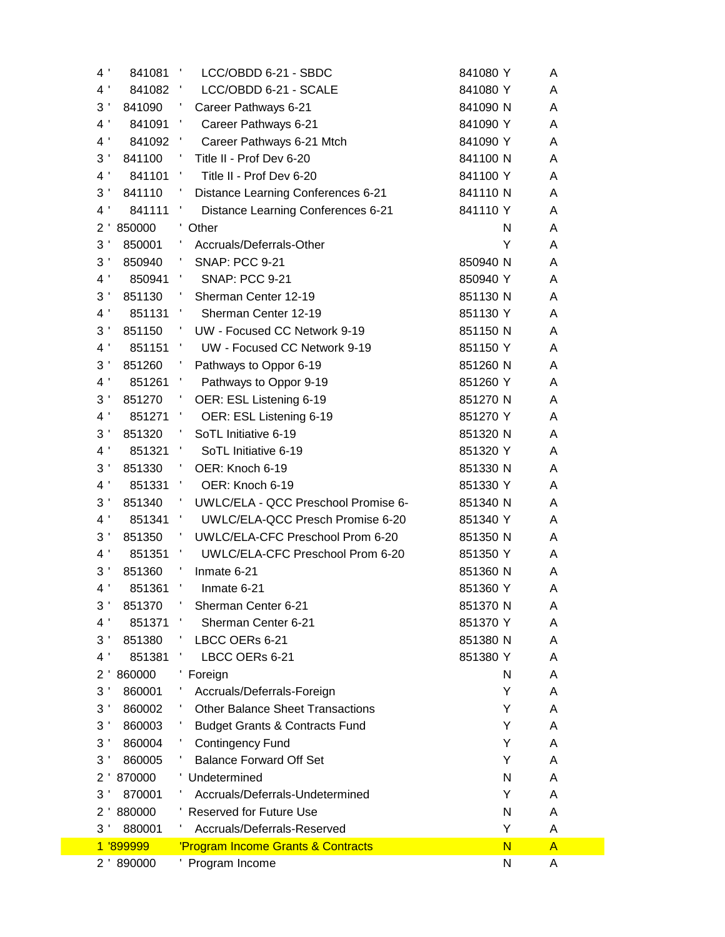| 4 <sup>1</sup><br>841081   | LCC/OBDD 6-21 - SBDC<br>$\mathcal{A}$                  | 841080 Y                | A              |
|----------------------------|--------------------------------------------------------|-------------------------|----------------|
| 4 <sup>1</sup><br>841082 ' | LCC/OBDD 6-21 - SCALE                                  | 841080Y                 | A              |
| 3 <sup>1</sup><br>841090   | Career Pathways 6-21                                   | 841090 N                | A              |
| 4 <sup>1</sup><br>841091   | $\mathcal{F}_{\mathcal{C}}$<br>Career Pathways 6-21    | 841090 Y                | Α              |
| 4 <sup>1</sup><br>841092 ' | Career Pathways 6-21 Mtch                              | 841090 Y                | A              |
| 3 <sup>1</sup><br>841100   | Title II - Prof Dev 6-20                               | 841100 N                | A              |
| 4 <sup>1</sup><br>841101   | Title II - Prof Dev 6-20<br>- 11                       | 841100 Y                | A              |
| 3 <sup>1</sup><br>841110   | Distance Learning Conferences 6-21                     | 841110 N                | A              |
| 4 <sup>1</sup><br>841111   | Distance Learning Conferences 6-21                     | 841110 Y                | A              |
| 2 <sup>1</sup><br>850000   | ' Other                                                | N                       | A              |
| 3 <sup>1</sup><br>850001   | Accruals/Deferrals-Other                               | Y                       | A              |
| 3 <sup>1</sup><br>850940   | <b>SNAP: PCC 9-21</b><br><b>A</b>                      | 850940 N                | A              |
| 4 <sup>1</sup><br>850941   | $\mathbf{r}$<br><b>SNAP: PCC 9-21</b>                  | 850940 Y                | A              |
| 3 <sup>1</sup><br>851130   | Sherman Center 12-19                                   | 851130 N                | A              |
| 4 <sup>1</sup><br>851131   | Sherman Center 12-19<br>$\sim 10^{-11}$                | 851130 Y                | A              |
| 3 <sup>1</sup><br>851150   | UW - Focused CC Network 9-19                           | 851150 N                | A              |
| 4 <sup>1</sup><br>851151   | UW - Focused CC Network 9-19<br>- 5                    | 851150 Y                | A              |
| 3 <sup>1</sup><br>851260   | Pathways to Oppor 6-19                                 | 851260 N                | A              |
| 4 <sup>1</sup><br>851261   | Pathways to Oppor 9-19<br>$\mathcal{L}$                | 851260 Y                | A              |
| 3 <sup>1</sup><br>851270   | OER: ESL Listening 6-19                                | 851270 N                | A              |
| 4 <sup>1</sup><br>851271   | OER: ESL Listening 6-19<br>$\mathcal{A}_{\mathcal{A}}$ | 851270 Y                | A              |
| 3 <sup>1</sup><br>851320   | SoTL Initiative 6-19                                   | 851320 N                | A              |
| 4 <sup>1</sup><br>851321   | SoTL Initiative 6-19                                   | 851320 Y                | Α              |
| 3 <sup>1</sup><br>851330   | OER: Knoch 6-19                                        | 851330 N                | A              |
| 4 <sup>1</sup><br>851331   | OER: Knoch 6-19                                        | 851330 Y                | A              |
| 3 <sup>1</sup><br>851340   | UWLC/ELA - QCC Preschool Promise 6-                    | 851340 N                | A              |
| 4 <sup>1</sup><br>851341   | UWLC/ELA-QCC Presch Promise 6-20<br>$\mathcal{F}$      | 851340 Y                | A              |
| 3 <sup>1</sup><br>851350   | UWLC/ELA-CFC Preschool Prom 6-20                       | 851350 N                | A              |
| 4 <sup>1</sup><br>851351   | UWLC/ELA-CFC Preschool Prom 6-20                       | 851350 Y                | A              |
| 3 <sup>1</sup><br>851360   | Inmate 6-21                                            | 851360 N                | A              |
| 4 <sup>1</sup><br>851361   | Inmate 6-21                                            | 851360 Y                | A              |
| 3 <sup>′</sup><br>851370   | Sherman Center 6-21                                    | 851370 N                | A              |
| 4 <sup>1</sup><br>851371   | Sherman Center 6-21                                    | 851370 Y                | A              |
| 3 <sup>1</sup><br>851380   | LBCC OERs 6-21                                         | 851380 N                | A              |
| 4 <sup>1</sup><br>851381   | LBCC OERs 6-21                                         | 851380 Y                | A              |
| 860000<br>$2^{\prime}$     | Foreign                                                | N                       | A              |
| 3 <sup>1</sup><br>860001   | Accruals/Deferrals-Foreign                             | Y                       | A              |
| 3'<br>860002               | <b>Other Balance Sheet Transactions</b>                | Y                       | A              |
| 3 <sup>′</sup><br>860003   | <b>Budget Grants &amp; Contracts Fund</b>              | Y                       | A              |
| 3 <sup>1</sup><br>860004   | <b>Contingency Fund</b>                                | Y                       | A              |
| 3 <sup>′</sup><br>860005   | <b>Balance Forward Off Set</b>                         | Y                       | A              |
| 870000<br>$2^{\prime}$     | ' Undetermined                                         | N                       | A              |
| 3'<br>870001               | Accruals/Deferrals-Undetermined                        | Y                       | A              |
| 880000<br>$2^{\prime}$     | <b>Reserved for Future Use</b>                         | N                       | A              |
| 3 <sup>′</sup><br>880001   | Accruals/Deferrals-Reserved                            | Y                       | A              |
| 1 '899999                  | 'Program Income Grants & Contracts                     | $\overline{\mathsf{N}}$ | $\overline{A}$ |
| 2 '890000                  | ' Program Income                                       | N                       | A              |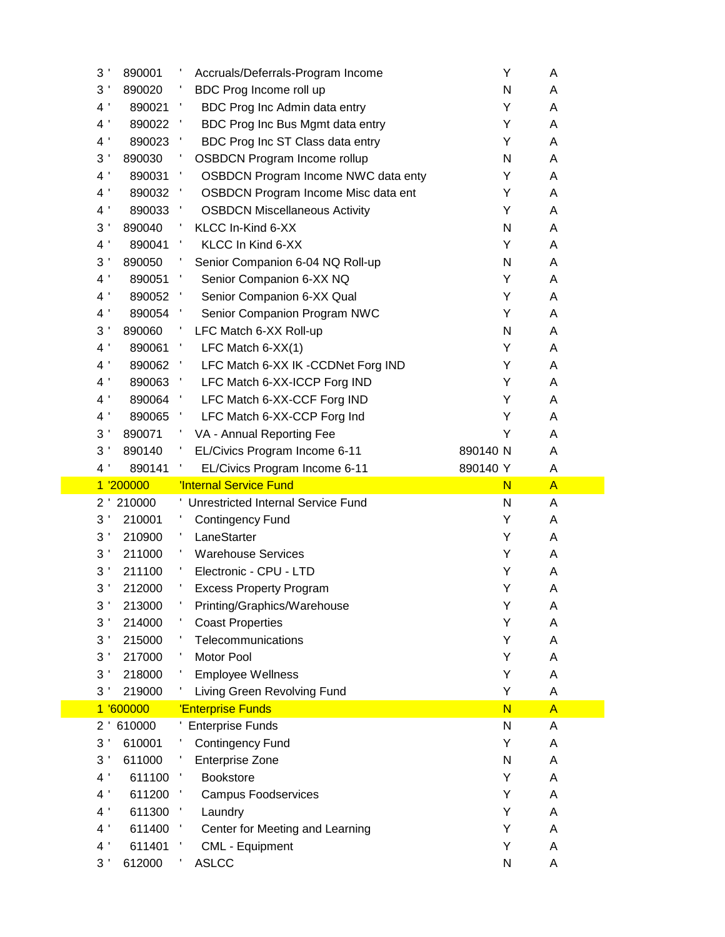| 3 <sup>1</sup><br>890001   | Accruals/Deferrals-Program Income              | Υ        | A              |
|----------------------------|------------------------------------------------|----------|----------------|
| 3 <sup>1</sup><br>890020   | BDC Prog Income roll up                        | N        | A              |
| 4 <sup>1</sup><br>890021   | BDC Prog Inc Admin data entry<br>$\mathcal{A}$ | Υ        | Α              |
| 4 <sup>1</sup><br>890022   | BDC Prog Inc Bus Mgmt data entry               | Y        | A              |
| 4 <sup>1</sup><br>890023   | BDC Prog Inc ST Class data entry               | Y        | A              |
| 3 <sup>1</sup><br>890030   | <b>OSBDCN Program Income rollup</b>            | N        | A              |
| 4 <sup>1</sup><br>890031   | <b>OSBDCN Program Income NWC data enty</b>     | Y        | A              |
| 4 <sup>1</sup><br>890032   | OSBDCN Program Income Misc data ent            | Y        | A              |
| 4 <sup>1</sup><br>890033   | <b>OSBDCN Miscellaneous Activity</b>           | Y        | Α              |
| 3 <sup>1</sup><br>890040   | KLCC In-Kind 6-XX                              | N        | A              |
| 4 <sup>1</sup><br>890041   | KLCC In Kind 6-XX                              | Y        | A              |
| 3 <sup>1</sup><br>890050   | Senior Companion 6-04 NQ Roll-up               | N        | A              |
| 4 <sup>1</sup><br>890051   | Senior Companion 6-XX NQ                       | Y        | Α              |
| 4 <sup>1</sup><br>890052   | Senior Companion 6-XX Qual                     | Y        | A              |
| 4 <sup>1</sup><br>890054 ' | Senior Companion Program NWC                   | Y        | A              |
| 3 <sup>1</sup><br>890060   | LFC Match 6-XX Roll-up                         | N        | Α              |
| 4 '<br>890061              | LFC Match $6-XX(1)$                            | Y        | A              |
| 4 <sup>1</sup><br>890062   | LFC Match 6-XX IK -CCDNet Forg IND<br>25       | Y        | Α              |
| 4 <sup>1</sup><br>890063   | LFC Match 6-XX-ICCP Forg IND<br>- 1            | Y        | A              |
| 4 <sup>1</sup><br>890064   | LFC Match 6-XX-CCF Forg IND<br>25              | Y        | A              |
| 4 <sup>1</sup><br>890065   | LFC Match 6-XX-CCP Forg Ind                    | Y        | A              |
| 3 <sup>′</sup><br>890071   | VA - Annual Reporting Fee                      | Υ        | Α              |
| 3'<br>890140               | EL/Civics Program Income 6-11                  | 890140 N | A              |
| $4^{\prime}$<br>890141     | EL/Civics Program Income 6-11                  | 890140 Y | A              |
| 1 '200000                  | <b>'Internal Service Fund</b>                  | N        | $\mathsf{A}$   |
| 2 ' 210000                 | ' Unrestricted Internal Service Fund           | N        | A              |
| 3 <sup>1</sup><br>210001   | <b>Contingency Fund</b>                        | Y        | A              |
| 3 <sup>1</sup><br>210900   | LaneStarter                                    | Υ        | Α              |
| 3 <sup>1</sup><br>211000   | <b>Warehouse Services</b>                      | Y        | A              |
| 3 <sup>1</sup><br>211100   | Electronic - CPU - LTD                         | Y        | A              |
| 3 <sup>1</sup><br>212000   | <b>Excess Property Program</b>                 | Υ        | A              |
| 3 <sup>1</sup><br>213000   | Printing/Graphics/Warehouse                    | Υ        | Α              |
| 214000<br>3 <sup>′</sup>   | <b>Coast Properties</b>                        | Y        | A              |
| 3 <sup>1</sup><br>215000   | Telecommunications                             | Υ        | Α              |
| 3 <sup>1</sup><br>217000   | Motor Pool                                     | Υ        | Α              |
| 3 <sup>1</sup><br>218000   | <b>Employee Wellness</b>                       | Υ        | A              |
| 3 <sup>1</sup><br>219000   | Living Green Revolving Fund                    | Υ        | Α              |
| 1 '600000                  | 'Enterprise Funds                              | N        | $\overline{A}$ |
| 610000<br>$2^{\prime}$     | ' Enterprise Funds                             | N        | A              |
| 3 <sup>′</sup><br>610001   | <b>Contingency Fund</b>                        | Υ        | A              |
| 3 <sup>′</sup><br>611000   | <b>Enterprise Zone</b>                         | N        | Α              |
| 4 <sup>1</sup><br>611100   | <b>Bookstore</b>                               | Y        | A              |
| 4 <sup>1</sup><br>611200   | <b>Campus Foodservices</b>                     | Y        | Α              |
| 4 <sup>1</sup><br>611300   | Laundry                                        | Y        | Α              |
| 4 <sup>1</sup><br>611400   | Center for Meeting and Learning                | Υ        | A              |
| 4 <sup>1</sup><br>611401   | CML - Equipment                                | Υ        | Α              |
| 3 <sup>1</sup><br>612000   | <b>ASLCC</b>                                   | N        | Α              |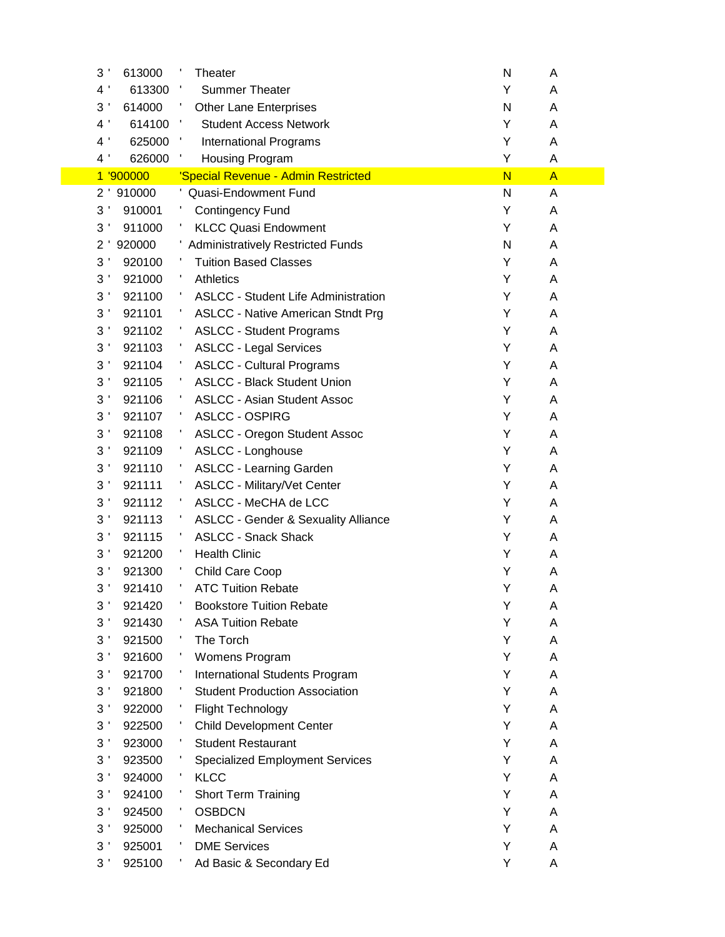| 3 <sup>1</sup> | 613000     | Theater                                        | N                       | Α            |
|----------------|------------|------------------------------------------------|-------------------------|--------------|
| 4 <sup>1</sup> | 613300     | <b>Summer Theater</b>                          | Υ                       | Α            |
| 3 <sup>1</sup> | 614000     | <b>Other Lane Enterprises</b>                  | N                       | A            |
| 4 <sup>1</sup> | 614100     | <b>Student Access Network</b>                  | Υ                       | Α            |
| 4 <sup>1</sup> | 625000     | <b>International Programs</b>                  | Υ                       | A            |
| 4 '            | 626000     | Housing Program                                | Υ                       | A            |
|                | 1 '900000  | 'Special Revenue - Admin Restricted            | $\overline{\mathsf{N}}$ | $\mathsf{A}$ |
|                | 2 ' 910000 | ' Quasi-Endowment Fund                         | N                       | Α            |
| 3 <sup>1</sup> | 910001     | <b>Contingency Fund</b>                        | Υ                       | Α            |
| 3              | 911000     | <b>KLCC Quasi Endowment</b>                    | Υ                       | A            |
| $2^{\prime}$   | 920000     | <b>Administratively Restricted Funds</b>       | N                       | A            |
| 3 <sup>1</sup> | 920100     | <b>Tuition Based Classes</b>                   | Υ                       | A            |
| 3              | 921000     | Athletics                                      | Υ                       | A            |
| 3 <sup>1</sup> | 921100     | <b>ASLCC - Student Life Administration</b>     | Υ                       | Α            |
| 3 <sup>1</sup> | 921101     | <b>ASLCC - Native American Stndt Prg</b>       | Υ                       | A            |
| 3 <sup>1</sup> | 921102     | <b>ASLCC - Student Programs</b>                | Υ                       | A            |
| 3 <sup>1</sup> | 921103     | <b>ASLCC - Legal Services</b>                  | Υ                       | A            |
| 3 <sup>1</sup> | 921104     | <b>ASLCC - Cultural Programs</b>               | Υ                       | A            |
| 3 <sup>1</sup> | 921105     | <b>ASLCC - Black Student Union</b>             | Υ                       | A            |
| 3 <sup>1</sup> | 921106     | <b>ASLCC - Asian Student Assoc</b>             | Υ                       | A            |
| 3 <sup>1</sup> | 921107     | <b>ASLCC - OSPIRG</b>                          | Y                       | A            |
| 3 <sup>1</sup> | 921108     | <b>ASLCC - Oregon Student Assoc</b>            | Υ                       | A            |
| 3 <sup>1</sup> | 921109     | <b>ASLCC - Longhouse</b>                       | Υ                       | A            |
| 3 <sup>1</sup> | 921110     | <b>ASLCC - Learning Garden</b>                 | Υ                       | A            |
| 3 <sup>1</sup> | 921111     | <b>ASLCC - Military/Vet Center</b>             | Υ                       | A            |
| 3 <sup>1</sup> | 921112     | ASLCC - MeCHA de LCC                           | Υ                       | A            |
| 3 <sup>1</sup> | 921113     | <b>ASLCC - Gender &amp; Sexuality Alliance</b> | Υ                       | A            |
| 3 <sup>1</sup> | 921115     | <b>ASLCC - Snack Shack</b>                     | Υ                       | A            |
| 3 <sup>1</sup> | 921200     | <b>Health Clinic</b>                           | Υ                       | A            |
| 3 <sup>1</sup> | 921300     | Child Care Coop                                | Y                       | A            |
| 3 <sup>1</sup> | 921410     | <b>ATC Tuition Rebate</b>                      | Υ                       | A            |
| 3 <sup>1</sup> | 921420     | <b>Bookstore Tuition Rebate</b>                | Υ                       | Α            |
| 3 <sup>1</sup> | 921430     | <b>ASA Tuition Rebate</b>                      | Υ                       | Α            |
| 3 <sup>1</sup> | 921500     | The Torch                                      | Υ                       | A            |
| 3 <sup>1</sup> | 921600     | Womens Program                                 | Y                       | A            |
| 3 <sup>1</sup> | 921700     | International Students Program                 | Y                       | A            |
| 3 <sup>1</sup> | 921800     | <b>Student Production Association</b>          | Y                       | A            |
| 3 <sup>1</sup> | 922000     | <b>Flight Technology</b>                       | Υ                       | Α            |
| 3 <sup>1</sup> | 922500     | <b>Child Development Center</b>                | Υ                       | Α            |
| 3 <sup>1</sup> | 923000     | <b>Student Restaurant</b>                      | Υ                       | Α            |
| 3 <sup>1</sup> | 923500     | <b>Specialized Employment Services</b>         | Υ                       | A            |
| 3 <sup>1</sup> | 924000     | <b>KLCC</b>                                    | Y                       | Α            |
| 3 <sup>1</sup> | 924100     | <b>Short Term Training</b>                     | Y                       | A            |
| 3 <sup>1</sup> | 924500     | <b>OSBDCN</b>                                  | Υ                       | A            |
| 3 <sup>1</sup> | 925000     | <b>Mechanical Services</b>                     | Υ                       | Α            |
| 3 <sup>1</sup> | 925001     | <b>DME Services</b>                            | Υ                       | A            |
| 3 <sup>1</sup> | 925100     | Ad Basic & Secondary Ed                        | Υ                       | A            |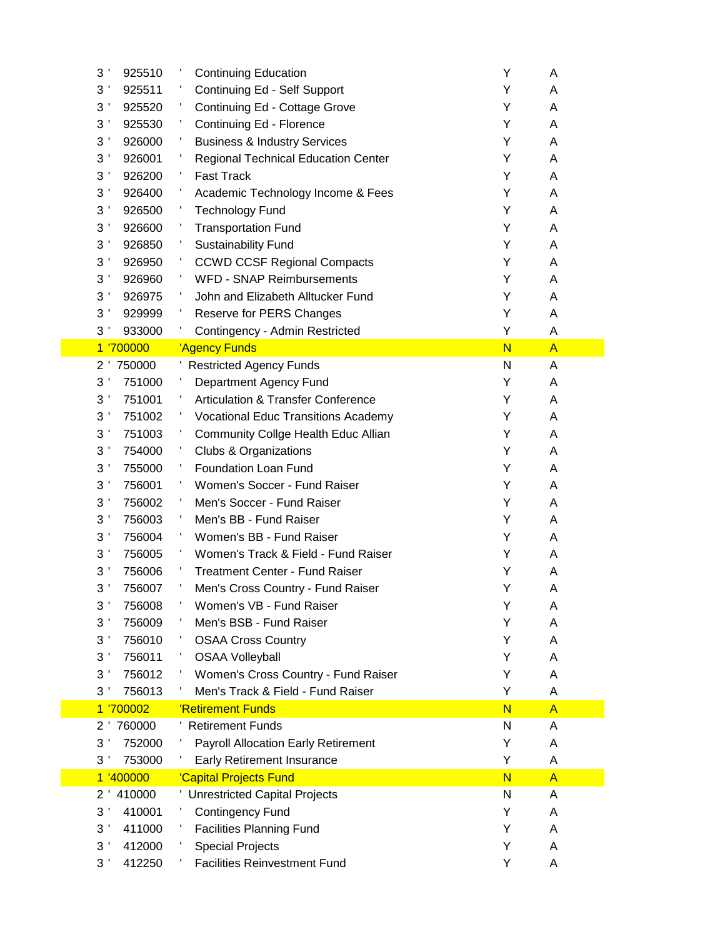| 3'<br>925510             | <b>Continuing Education</b>                   | Υ                       | A              |
|--------------------------|-----------------------------------------------|-------------------------|----------------|
| 3'<br>925511             | Continuing Ed - Self Support                  | Y                       | A              |
| 3<br>925520              | Continuing Ed - Cottage Grove                 | Y                       | Α              |
| 3 <sup>1</sup><br>925530 | Continuing Ed - Florence                      | Y                       | A              |
| 3 <sup>1</sup><br>926000 | <b>Business &amp; Industry Services</b>       | Y                       | A              |
| 3 <sup>1</sup><br>926001 | <b>Regional Technical Education Center</b>    | Y                       | A              |
| 3 <sup>1</sup><br>926200 | <b>Fast Track</b>                             | Y                       | A              |
| 3 <sup>1</sup><br>926400 | Academic Technology Income & Fees             | Y                       | A              |
| 3 <sup>1</sup><br>926500 | <b>Technology Fund</b>                        | Y                       | A              |
| 3<br>926600              | <b>Transportation Fund</b>                    | Y                       | A              |
| 3 <sup>1</sup><br>926850 | <b>Sustainability Fund</b>                    | Y                       | A              |
| 3 <sup>1</sup><br>926950 | <b>CCWD CCSF Regional Compacts</b>            | Y                       | A              |
| 3 <sup>1</sup><br>926960 | <b>WFD - SNAP Reimbursements</b>              | Y                       | A              |
| 3<br>926975              | John and Elizabeth Alltucker Fund             | Υ                       | A              |
| 3<br>929999              | Reserve for PERS Changes                      | Υ                       | A              |
| 3 <sup>1</sup><br>933000 | Contingency - Admin Restricted                | Υ                       | A              |
| 1 '700000                | 'Agency Funds                                 | $\overline{\mathsf{N}}$ | $\overline{A}$ |
| 2'<br>750000             | <b>Restricted Agency Funds</b>                | N                       | A              |
| 3 <sup>′</sup><br>751000 | Department Agency Fund                        | Y                       | A              |
| 3 <sup>1</sup><br>751001 | <b>Articulation &amp; Transfer Conference</b> | Y                       | A              |
| 3 <sup>1</sup><br>751002 | <b>Vocational Educ Transitions Academy</b>    | Y                       | A              |
| 3 <sup>1</sup><br>751003 | Community Collge Health Educ Allian           | Y                       | A              |
| 3'<br>754000             | <b>Clubs &amp; Organizations</b>              | Y                       | A              |
| 3'<br>755000             | Foundation Loan Fund                          | Y                       | A              |
| 3 <sup>1</sup><br>756001 | Women's Soccer - Fund Raiser                  | Y                       | A              |
| 3 <sup>1</sup><br>756002 | Men's Soccer - Fund Raiser                    | Y                       | A              |
| 3 <sup>′</sup><br>756003 | Men's BB - Fund Raiser                        | Y                       | A              |
| 3 <sup>1</sup><br>756004 | Women's BB - Fund Raiser                      | Υ                       | Α              |
| 3<br>756005              | Women's Track & Field - Fund Raiser           | Y                       | A              |
| 3 <sup>1</sup><br>756006 | <b>Treatment Center - Fund Raiser</b>         | Y                       | A              |
| 3 <sup>′</sup><br>756007 | Men's Cross Country - Fund Raiser             | Υ                       | A              |
| 3 <sup>1</sup><br>756008 | Women's VB - Fund Raiser                      | Υ                       | A              |
| 3 <sup>′</sup><br>756009 | Men's BSB - Fund Raiser                       | Y                       | A              |
| 3 <sup>′</sup><br>756010 | <b>OSAA Cross Country</b>                     | Y                       | Α              |
| 3 <sup>1</sup><br>756011 | <b>OSAA Volleyball</b>                        | Y                       | Α              |
| 3 <sup>′</sup><br>756012 | Women's Cross Country - Fund Raiser           | Y                       | A              |
| 756013<br>3 <sup>1</sup> | Men's Track & Field - Fund Raiser             | Y                       | Α              |
| 1 '700002                | 'Retirement Funds                             | N                       | $\mathsf{A}$   |
| 760000<br>$2^{\prime}$   | ' Retirement Funds                            | N                       | A              |
| 3<br>752000              | <b>Payroll Allocation Early Retirement</b>    | Y                       | Α              |
| 3 <sup>1</sup><br>753000 | Early Retirement Insurance                    | Υ                       | Α              |
| 1 '400000                | 'Capital Projects Fund                        | N                       | $\mathsf{A}$   |
| 410000<br>$2^{\prime}$   | Unrestricted Capital Projects                 | N                       | A              |
| 3 <sup>1</sup><br>410001 | <b>Contingency Fund</b>                       | Y                       | A              |
| 3<br>411000              | <b>Facilities Planning Fund</b>               | Y                       | A              |
| 3 <sup>1</sup><br>412000 | <b>Special Projects</b>                       | Y                       | A              |
| 3 <sup>1</sup><br>412250 | <b>Facilities Reinvestment Fund</b>           | Y                       | A              |